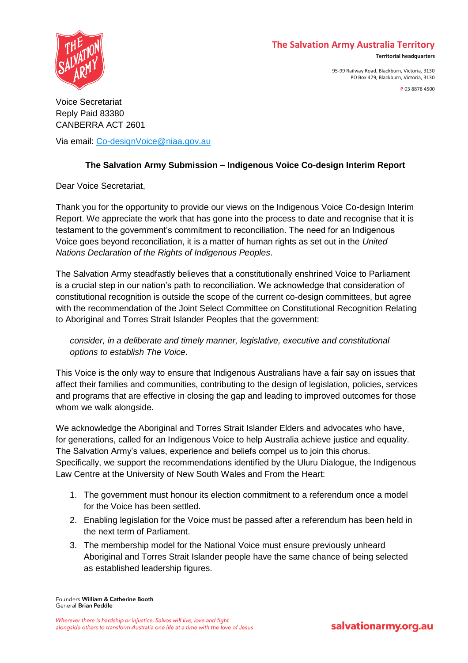### **The Salvation Army Australia Territory**



95-99 Railway Road, Blackburn, Victoria, 3130 PO Box 479, Blackburn, Victoria, 3130



Voice Secretariat Reply Paid 83380 CANBERRA ACT 2601

Via email: [Co-designVoice@niaa.gov.au](file:///C:/Users/Jennifer.kirkaldy/AppData/Local/Microsoft/Windows/INetCache/Content.Outlook/8K48268X/Co-designVoice@niaa.gov.au)

# **The Salvation Army Submission – Indigenous Voice Co-design Interim Report**

Dear Voice Secretariat,

Thank you for the opportunity to provide our views on the Indigenous Voice Co-design Interim Report. We appreciate the work that has gone into the process to date and recognise that it is testament to the government's commitment to reconciliation. The need for an Indigenous Voice goes beyond reconciliation, it is a matter of human rights as set out in the *United Nations Declaration of the Rights of Indigenous Peoples*.

The Salvation Army steadfastly believes that a constitutionally enshrined Voice to Parliament is a crucial step in our nation's path to reconciliation. We acknowledge that consideration of constitutional recognition is outside the scope of the current co-design committees, but agree with the recommendation of the Joint Select Committee on Constitutional Recognition Relating to Aboriginal and Torres Strait Islander Peoples that the government:

*consider, in a deliberate and timely manner, legislative, executive and constitutional options to establish The Voice*.

This Voice is the only way to ensure that Indigenous Australians have a fair say on issues that affect their families and communities, contributing to the design of legislation, policies, services and programs that are effective in closing the gap and leading to improved outcomes for those whom we walk alongside.

We acknowledge the Aboriginal and Torres Strait Islander Elders and advocates who have, for generations, called for an Indigenous Voice to help Australia achieve justice and equality. The Salvation Army's values, experience and beliefs compel us to join this chorus. Specifically, we support the recommendations identified by the Uluru Dialogue, the Indigenous Law Centre at the University of New South Wales and From the Heart:

- 1. The government must honour its election commitment to a referendum once a model for the Voice has been settled.
- 2. Enabling legislation for the Voice must be passed after a referendum has been held in the next term of Parliament.
- 3. The membership model for the National Voice must ensure previously unheard Aboriginal and Torres Strait Islander people have the same chance of being selected as established leadership figures.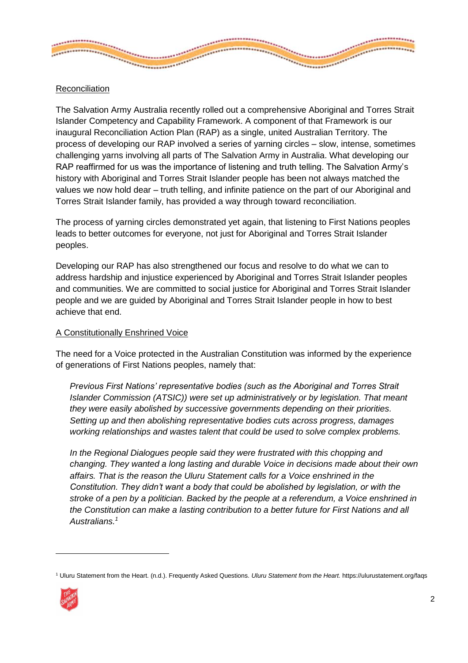

## Reconciliation

The Salvation Army Australia recently rolled out a comprehensive Aboriginal and Torres Strait Islander Competency and Capability Framework. A component of that Framework is our inaugural Reconciliation Action Plan (RAP) as a single, united Australian Territory. The process of developing our RAP involved a series of yarning circles – slow, intense, sometimes challenging yarns involving all parts of The Salvation Army in Australia. What developing our RAP reaffirmed for us was the importance of listening and truth telling. The Salvation Army's history with Aboriginal and Torres Strait Islander people has been not always matched the values we now hold dear – truth telling, and infinite patience on the part of our Aboriginal and Torres Strait Islander family, has provided a way through toward reconciliation.

The process of yarning circles demonstrated yet again, that listening to First Nations peoples leads to better outcomes for everyone, not just for Aboriginal and Torres Strait Islander peoples.

Developing our RAP has also strengthened our focus and resolve to do what we can to address hardship and injustice experienced by Aboriginal and Torres Strait Islander peoples and communities. We are committed to social justice for Aboriginal and Torres Strait Islander people and we are guided by Aboriginal and Torres Strait Islander people in how to best achieve that end.

#### A Constitutionally Enshrined Voice

The need for a Voice protected in the Australian Constitution was informed by the experience of generations of First Nations peoples, namely that:

*Previous First Nations' representative bodies (such as the Aboriginal and Torres Strait Islander Commission (ATSIC)) were set up administratively or by legislation. That meant they were easily abolished by successive governments depending on their priorities. Setting up and then abolishing representative bodies cuts across progress, damages working relationships and wastes talent that could be used to solve complex problems.*

*In the Regional Dialogues people said they were frustrated with this chopping and changing. They wanted a long lasting and durable Voice in decisions made about their own affairs. That is the reason the Uluru Statement calls for a Voice enshrined in the Constitution. They didn't want a body that could be abolished by legislation, or with the stroke of a pen by a politician. Backed by the people at a referendum, a Voice enshrined in the Constitution can make a lasting contribution to a better future for First Nations and all Australians.<sup>1</sup>*

<sup>1</sup> Uluru Statement from the Heart. (n.d.). Frequently Asked Questions. *Uluru Statement from the Heart.* https://ulurustatement.org/faqs



 $\overline{a}$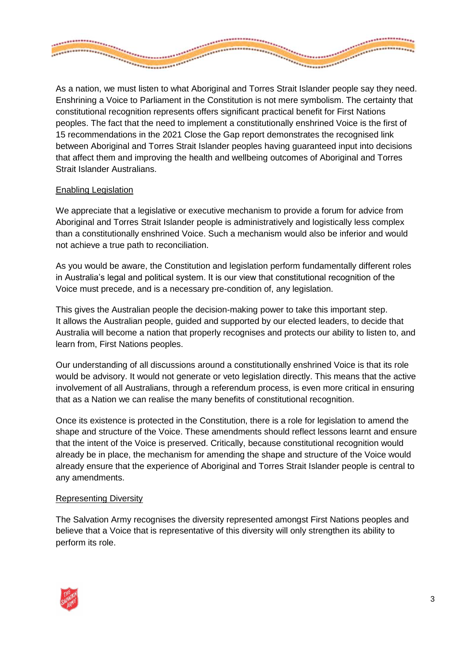

As a nation, we must listen to what Aboriginal and Torres Strait Islander people say they need. Enshrining a Voice to Parliament in the Constitution is not mere symbolism. The certainty that constitutional recognition represents offers significant practical benefit for First Nations peoples. The fact that the need to implement a constitutionally enshrined Voice is the first of 15 recommendations in the 2021 Close the Gap report demonstrates the recognised link between Aboriginal and Torres Strait Islander peoples having guaranteed input into decisions that affect them and improving the health and wellbeing outcomes of Aboriginal and Torres Strait Islander Australians.

### Enabling Legislation

We appreciate that a legislative or executive mechanism to provide a forum for advice from Aboriginal and Torres Strait Islander people is administratively and logistically less complex than a constitutionally enshrined Voice. Such a mechanism would also be inferior and would not achieve a true path to reconciliation.

As you would be aware, the Constitution and legislation perform fundamentally different roles in Australia's legal and political system. It is our view that constitutional recognition of the Voice must precede, and is a necessary pre-condition of, any legislation.

This gives the Australian people the decision-making power to take this important step. It allows the Australian people, guided and supported by our elected leaders, to decide that Australia will become a nation that properly recognises and protects our ability to listen to, and learn from, First Nations peoples.

Our understanding of all discussions around a constitutionally enshrined Voice is that its role would be advisory. It would not generate or veto legislation directly. This means that the active involvement of all Australians, through a referendum process, is even more critical in ensuring that as a Nation we can realise the many benefits of constitutional recognition.

Once its existence is protected in the Constitution, there is a role for legislation to amend the shape and structure of the Voice. These amendments should reflect lessons learnt and ensure that the intent of the Voice is preserved. Critically, because constitutional recognition would already be in place, the mechanism for amending the shape and structure of the Voice would already ensure that the experience of Aboriginal and Torres Strait Islander people is central to any amendments.

### Representing Diversity

The Salvation Army recognises the diversity represented amongst First Nations peoples and believe that a Voice that is representative of this diversity will only strengthen its ability to perform its role.